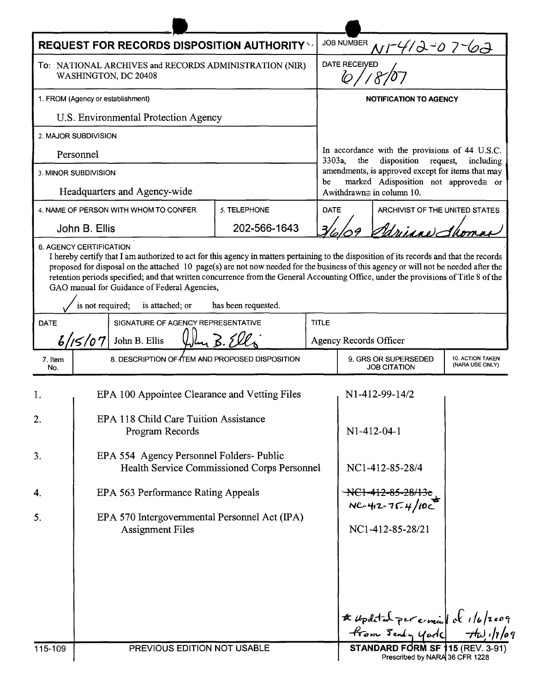| <b>REQUEST FOR RECORDS DISPOSITION AUTHORITY **</b>                            |                                                                                                                                                                                                                                                                                                                                                                    |                     |  | JOB NUMBER<br>Nr412-07-62                                                                                                                                                                                                            |                                 |                                            |  |
|--------------------------------------------------------------------------------|--------------------------------------------------------------------------------------------------------------------------------------------------------------------------------------------------------------------------------------------------------------------------------------------------------------------------------------------------------------------|---------------------|--|--------------------------------------------------------------------------------------------------------------------------------------------------------------------------------------------------------------------------------------|---------------------------------|--------------------------------------------|--|
| To: NATIONAL ARCHIVES and RECORDS ADMINISTRATION (NIR)<br>WASHINGTON, DC 20408 |                                                                                                                                                                                                                                                                                                                                                                    |                     |  | <b>DATE RECEIVED</b><br>b                                                                                                                                                                                                            |                                 |                                            |  |
| 1. FROM (Agency or establishment)                                              |                                                                                                                                                                                                                                                                                                                                                                    |                     |  | <b>NOTIFICATION TO AGENCY</b>                                                                                                                                                                                                        |                                 |                                            |  |
| U.S. Environmental Protection Agency                                           |                                                                                                                                                                                                                                                                                                                                                                    |                     |  |                                                                                                                                                                                                                                      |                                 |                                            |  |
|                                                                                | 2. MAJOR SUBDIVISION                                                                                                                                                                                                                                                                                                                                               |                     |  |                                                                                                                                                                                                                                      |                                 |                                            |  |
| Personnel                                                                      |                                                                                                                                                                                                                                                                                                                                                                    |                     |  | In accordance with the provisions of 44 U.S.C.<br>disposition request,<br>3303a,<br>the<br>including<br>amendments, is approved except for items that may<br>marked Adisposition not approved= or<br>be<br>Awithdrawn≅ in column 10. |                                 |                                            |  |
| 3. MINOR SUBDIVISION                                                           |                                                                                                                                                                                                                                                                                                                                                                    |                     |  |                                                                                                                                                                                                                                      |                                 |                                            |  |
| Headquarters and Agency-wide                                                   |                                                                                                                                                                                                                                                                                                                                                                    |                     |  |                                                                                                                                                                                                                                      |                                 |                                            |  |
|                                                                                | 4. NAME OF PERSON WITH WHOM TO CONFER                                                                                                                                                                                                                                                                                                                              | 5. TELEPHONE        |  | <b>DATE</b><br>ARCHIVIST OF THE UNITED STATES                                                                                                                                                                                        |                                 |                                            |  |
|                                                                                | John B. Ellis                                                                                                                                                                                                                                                                                                                                                      | 202-566-1643        |  | drinne Sh                                                                                                                                                                                                                            |                                 |                                            |  |
|                                                                                | proposed for disposal on the attached 10 page(s) are not now needed for the business of this agency or will not be needed after the<br>retention periods specified; and that written concurrence from the General Accounting Office, under the provisions of Title 8 of the<br>GAO manual for Guidance of Federal Agencies,<br>is not required;<br>is attached; or | has been requested. |  |                                                                                                                                                                                                                                      |                                 |                                            |  |
| SIGNATURE OF AGENCY REPRESENTATIVE<br><b>DATE</b>                              |                                                                                                                                                                                                                                                                                                                                                                    |                     |  | <b>TITLE</b>                                                                                                                                                                                                                         |                                 |                                            |  |
| 6/15/07<br>John B. Ellis                                                       |                                                                                                                                                                                                                                                                                                                                                                    |                     |  | <b>Agency Records Officer</b>                                                                                                                                                                                                        |                                 |                                            |  |
| 7. Item<br>No.                                                                 | 8. DESCRIPTION OF THEM AND PROPOSED DISPOSITION                                                                                                                                                                                                                                                                                                                    |                     |  | 9. GRS OR SUPERSEDED<br><b>JOB CITATION</b>                                                                                                                                                                                          |                                 | <b>10. ACTION TAKEN</b><br>(NARA USE ONLY) |  |
| 1.                                                                             | EPA 100 Appointee Clearance and Vetting Files                                                                                                                                                                                                                                                                                                                      |                     |  |                                                                                                                                                                                                                                      | N1-412-99-14/2                  |                                            |  |
| 2                                                                              | EPA 118 Child Care Tuition Assistance<br>Program Records                                                                                                                                                                                                                                                                                                           |                     |  | $N1-412-04-1$                                                                                                                                                                                                                        |                                 |                                            |  |
| 3.                                                                             | EPA 554 Agency Personnel Folders-Public<br>Health Service Commissioned Corps Personnel                                                                                                                                                                                                                                                                             |                     |  | NC1-412-85-28/4                                                                                                                                                                                                                      |                                 |                                            |  |
| 4.                                                                             | EPA 563 Performance Rating Appeals                                                                                                                                                                                                                                                                                                                                 |                     |  | <del>NC1-412-85-28</del>                                                                                                                                                                                                             |                                 |                                            |  |
| 5.                                                                             | EPA 570 Intergovernmental Personnel Act (IPA)<br><b>Assignment Files</b>                                                                                                                                                                                                                                                                                           |                     |  |                                                                                                                                                                                                                                      | $NC-42-75-4/10C$                |                                            |  |
|                                                                                |                                                                                                                                                                                                                                                                                                                                                                    |                     |  | NC1-412-85-28/21                                                                                                                                                                                                                     |                                 |                                            |  |
|                                                                                |                                                                                                                                                                                                                                                                                                                                                                    |                     |  |                                                                                                                                                                                                                                      | * updated per ermail de 16/2009 |                                            |  |
| 115-109                                                                        | PREVIOUS EDITION NOT USABLE                                                                                                                                                                                                                                                                                                                                        |                     |  | STANDARD FORM SF 115 (REV. 3-91)<br>Prescribed by NARA 36 CFR 1228                                                                                                                                                                   |                                 |                                            |  |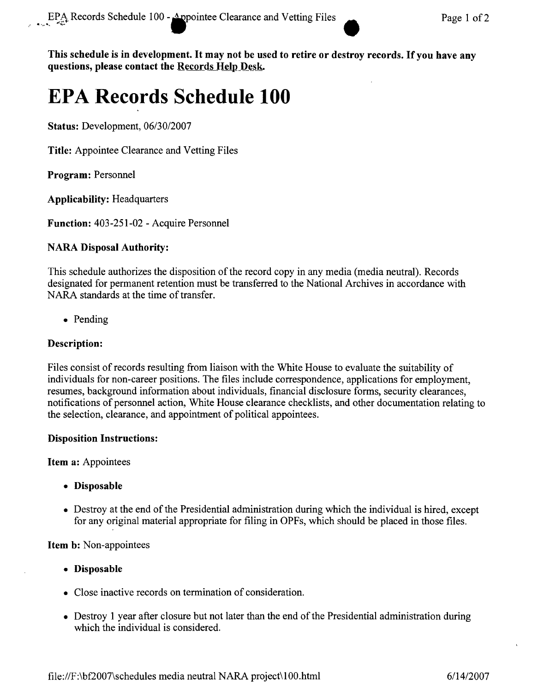This schedule is in development. It may not be used to retire or destroy records. If you have any **questions, please contact the Records Help Desk.** 

# **EPA Records Schedule 100**

**Status:** Development, *06/30/2007*

**Title:** Appointee Clearance and Vetting Files

**Program:** Personnel

**Applicability:** Headquarters

**Function:** 403-251-02 - Acquire Personnel

#### **NARA Disposal Authority:**

This schedule authorizes the disposition of the record copy in any media (media neutral). Records designated for permanent retention must be transferred to the National Archives in accordance with NARA standards at the time of transfer.

• Pending

#### **Description:**

Files consist of records resulting from liaison with the White House to evaluate the suitability of individuals for non-career positions. The files include correspondence, applications for employment, resumes, background information about individuals, financial disclosure forms, security clearances, notifications of personnel action, White House clearance checklists, and other documentation relating to the selection, clearance, and appointment of political appointees.

#### **Disposition Instructions:**

**Item a:** Appointees

- **• Disposable**
- Destroy at the end of the Presidential administration during which the individual is hired, except for any original material appropriate for filing in OPFs, which should be placed in those files.

**Item b:** Non-appointees

- **• Disposable**
- Close inactive records on termination of consideration.
- Destroy 1 year after closure but not later than the end of the Presidential administration during which the individual is considered.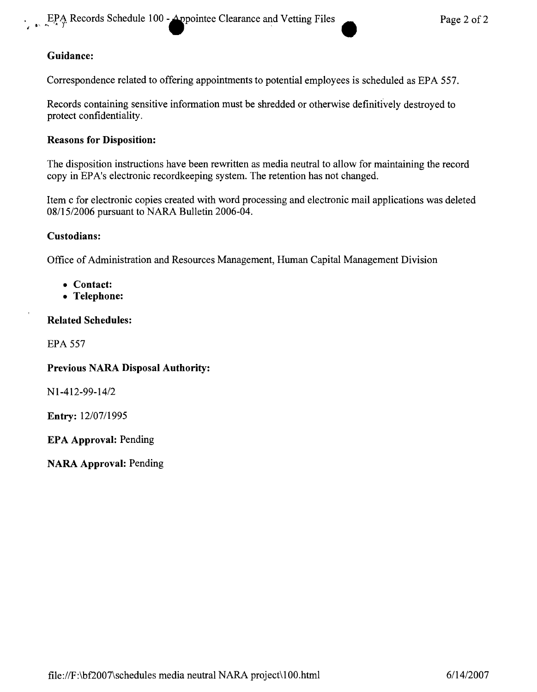## Guidance:

Correspondence related to offering appointments to potential employees is scheduled as EPA 557.

Records containing sensitive information must be shredded or otherwise definitively destroyed to protect confidentiality.

#### Reasons for Disposition:

The disposition instructions have been rewritten as media neutral to allow for maintaining the record copy in EPA's electronic recordkeeping system. The retention has not changed.

Item c for electronic copies created with word processing and electronic mail applications was deleted *0811512006* pursuant to NARA Bulletin 2006-04.

#### Custodians:

Office of Administration and Resources Management, Human Capital Management Division

- Contact:
- Telephone:

#### Related Schedules:

EPA 557

#### Previous NARA Disposal Authority:

*NI-412-99-1412*

Entry: *12/07/1995*

EPA Approval: Pending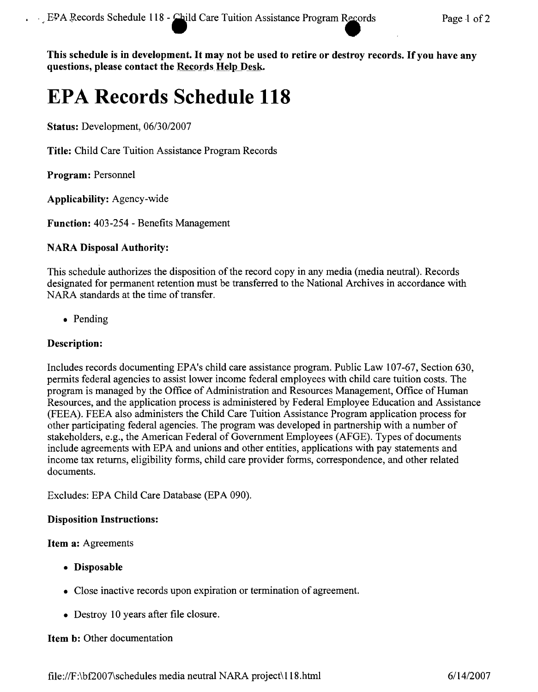This schedule is in development. It may not be used to retire or destroy records. If you have any questions, please contact the Records Help Desk.

# **EPA Records Schedule 118**

Status: Development, *06/30/2007*

Title: Child Care Tuition Assistance Program Records

Program: Personnel

Applicability: Agency-wide

Function: 403-254 - Benefits Management

## NARA Disposal Authority:

This schedule authorizes the disposition of the record copy in any media (media neutral). Records designated for permanent retention must be transferred to the National Archives in accordance with NARA standards at the time of transfer.

• Pending

## Description:

Includes records documenting EPA's child care assistance program. Public Law 107-67, Section 630, permits federal agencies to assist lower income federal employees with child care tuition costs. The program is managed by the Office of Administration and Resources Management, Office of Human Resources, and the application process is administered by Federal Employee Education and Assistance (FEEA). FEEA also administers the Child Care Tuition Assistance Program application process for other participating federal agencies. The program was developed in partnership with a number of stakeholders, e.g., the American Federal of Government Employees (AFGE). Types of documents include agreements with EPA and unions and other entities, applications with pay statements and income tax returns, eligibility forms, child care provider forms, correspondence, and other related documents.

Excludes: EPA Child Care Database (EPA 090).

## Disposition Instructions:

#### Item a: Agreements

- Disposable
- Close inactive records upon expiration or termination of agreement.
- Destroy 10 years after file closure.

#### Item b: Other documentation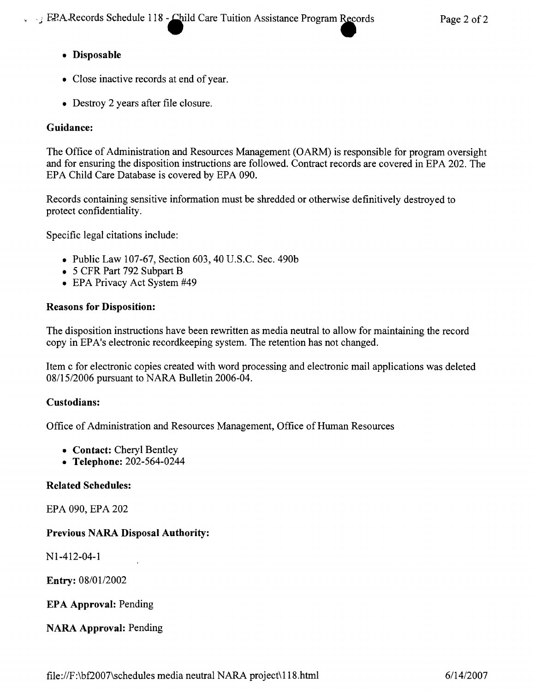## • Disposable

- Close inactive records at end of year.
- Destroy 2 years after file closure.

## Guidance:

The Office of Administration and Resources Management (OARM) is responsible for program oversight and for ensuring the disposition instructions are followed. Contract records are covered in EPA 202. The EPA Child Care Database is covered by EPA 090.

Records containing sensitive information must be shredded or otherwise definitively destroyed to protect confidentiality.

Specific legal citations include:

- Public Law 107-67, Section 603, 40 U.S.C. Sec. 490b
- 5 CFR Part 792 Subpart B
- EPA Privacy Act System #49

#### Reasons for Disposition:

The disposition instructions have been rewritten as media neutral to allow for maintaining the record copy in EPA's electronic recordkeeping system. The retention has not changed.

Item c for electronic copies created with word processing and electronic mail applications was deleted *08115/2006* pursuant to NARA Bulletin 2006-04.

## Custodians:

Office of Administration and Resources Management, Office of Human Resources

- Contact: Cheryl Bentley
- Telephone: 202-564-0244

## Related Schedules:

EPA 090, EPA 202

## Previous NARA Disposal Authority:

Nl-412-04-1

Entry: *08/0112002*

## EPA Approval: Pending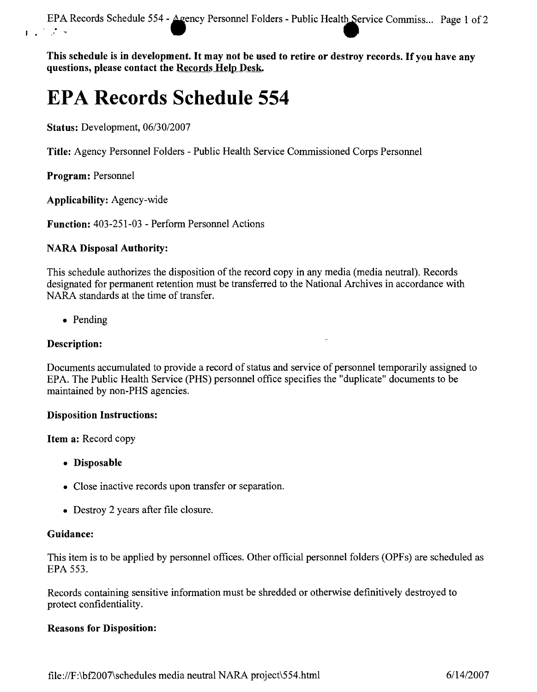EPA Records Schedule 554 - Agency Personnel Folders - Public Health Service Commiss ... Page 1 of 2

This schedule is in development. It may not be used to retire or destroy records. If you have any questions, please contact the Records  $H$ elp Desk.

# **EPA Records Schedule 554**

Status: Development, 06/30/2007

Title: Agency Personnel Folders - Public Health Service Commissioned Corps Personnel

Program: Personnel

Applicability: Agency-wide

Function: 403-251-03 - Perform Personnel Actions

#### NARA Disposal Authority:

This schedule authorizes the disposition of the record copy in any media (media neutral). Records designated for permanent retention must be transferred to the National Archives in accordance with NARA standards at the time of transfer.

• Pending

#### Description:

Documents accumulated to provide a record of status and service of personnel temporarily assigned to EPA. The Public Health Service (PHS) personnel office specifies the "duplicate" documents to be maintained by non-PHS agencies.

#### Disposition Instructions:

Item a: Record copy

- Disposable
- Close inactive records upon transfer or separation.
- Destroy 2 years after file closure.

#### Guidance:

This item is to be applied by personnel offices. Other official personnel folders (OPFs) are scheduled as EPA 553.

Records containing sensitive information must be shredded or otherwise definitively destroyed to protect confidentiality.

#### Reasons for Disposition: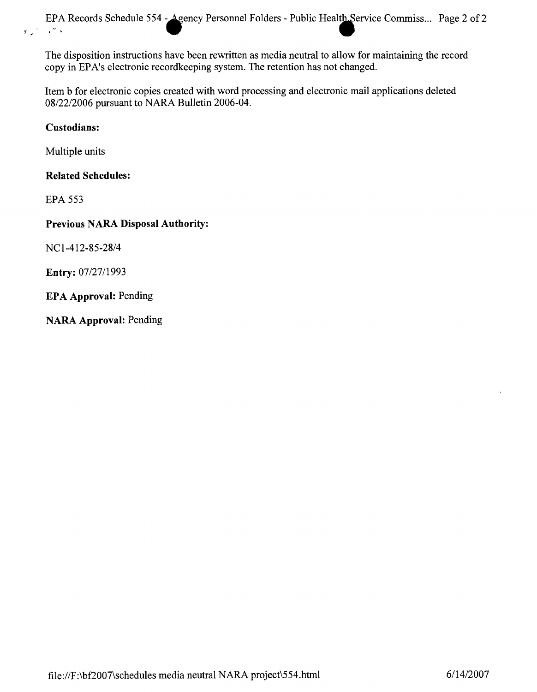The disposition instructions have been rewritten as media neutral to allow for maintaining the record copy in EPA's electronic recordkeeping system. The retention has not changed.

Item b for electronic copies created with word processing and electronic mail applications deleted *08/22/2006* pursuant to NARA Bulletin 2006-04.

## Custodians:

Multiple units

## Related Schedules:

EPA 553

## Previous NARA Disposal Authority:

*NC1-412-85-28/4*

Entry: *07/27/1993*

EPA Approval: Pending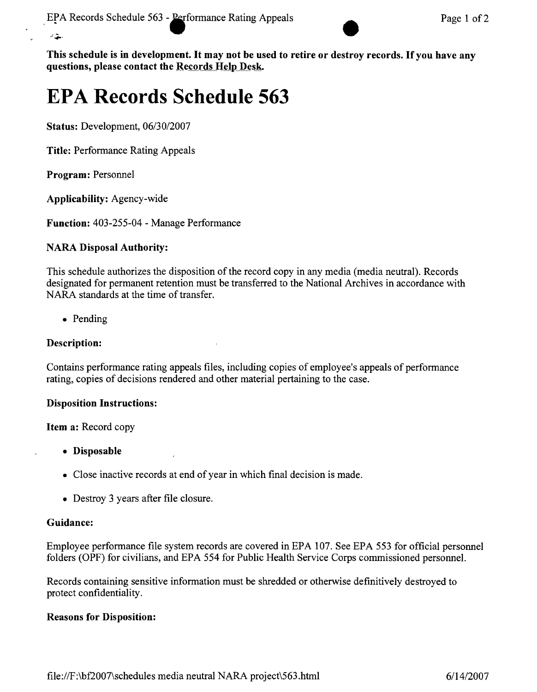

This schedule is in development. It may not be used to retire or destroy records. If you have any **questions, please contact the Records Help Desk.** 

# **EPA Records Schedule 563**

**Status:** Development, *06/30/2007*

**Title:** Performance Rating Appeals

**Program:** Personnel

 $\mathcal{L}$ 

**Applicability:** Agency-wide

**Function:** 403-255-04 - Manage Performance

## **NARA Disposal Authority:**

This schedule authorizes the disposition of the record copy in any media (media neutral). Records designated for permanent retention must be transferred to the National Archives in accordance with NARA standards at the time of transfer.

• Pending

#### **Description:**

Contains performance rating appeals files, including copies of employee's appeals of performance rating, copies of decisions rendered and other material pertaining to the case.

#### **Disposition Instructions:**

#### **Item a:** Record copy

- **• Disposable**
- Close inactive records at end of year in which final decision is made.
- Destroy 3 years after file closure.

#### **Guidance:**

Employee performance file system records are covered in EPA 107. See EPA 553 for official personnel folders (OPF) for civilians, and EPA 554 for Public Health Service Corps commissioned personnel.

Records containing sensitive information must be shredded or otherwise definitively destroyed to protect confidentiality.

#### **Reasons for Disposition:**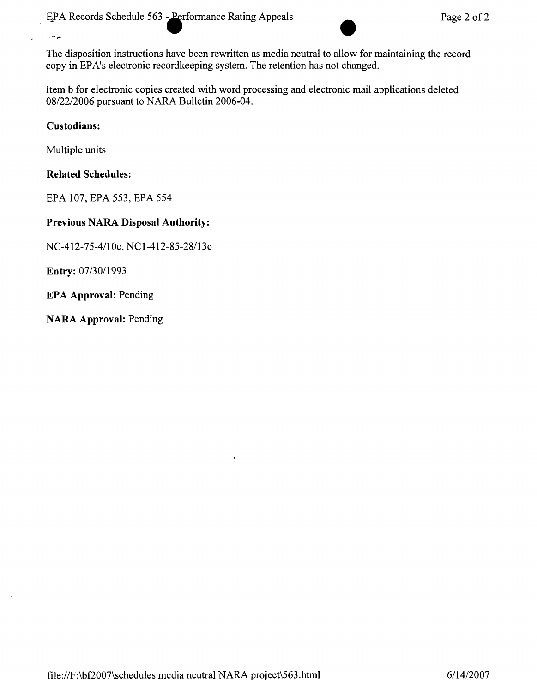EPA Records Schedule 563 - Performance Rating Appeals Page 2 of 2

The disposition instructions have been rewritten as media neutral to allow for maintaining the record copy in EPA's electronic recordkeeping system. The retention has not changed.

Item b for electronic copies created with word processing and electronic mail applications deleted *08/2212006* pursuant to NARA Bulletin 2006-04.

## **Custodians:**

يوجد

 $\lambda$ 

Multiple units

#### **Related Schedules:**

EPA 107, EPA 553, EPA 554

#### **Previous NARA Disposal Authority:**

*NC-412-75-4/10c, NCI-412-85-28/13c*

**Entry:** *07/3011993*

**EPA Approval:** Pending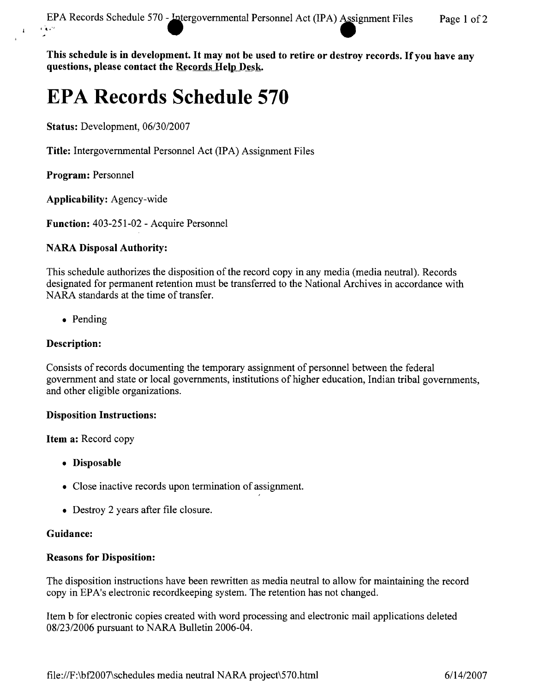**This schedule is in** development. It **may not be used to retire or destroy records.** Ifyou **have any questions, please contact the Records Help Desk.** 

# **EPA Records Schedule 570**

**Status:** Development, *06/30/2007*

**Title:** Intergovernmental Personnel Act (IPA) Assignment Files

**Program:** Personnel

 $\mathbf{1}$ 

**Applicability:** Agency-wide

**Function:** 403-251-02 - Acquire Personnel

#### **NARA Disposal Authority:**

This schedule authorizes the disposition of the record copy in any media (media neutral). Records designated for permanent retention must be transferred to the National Archives in accordance with NARA standards at the time of transfer.

• Pending

### **Description:**

Consists of records documenting the temporary assignment of personnel between the federal government and state or local governments, institutions of higher education, Indian tribal governments, and other eligible organizations.

#### **Disposition Instructions:**

**Item a:** Record copy

- **• Disposable**
- Close inactive records upon termination of assignment.
- Destroy 2 years after file closure.

#### **Guidance:**

#### **Reasons for Disposition:**

The disposition instructions have been rewritten as media neutral to allow for maintaining the record copy in EPA's electronic recordkeeping system. The retention has not changed.

Item b for electronic copies created with word processing and electronic mail applications deleted *08/23/2006* pursuant to NARA Bulletin 2006-04.